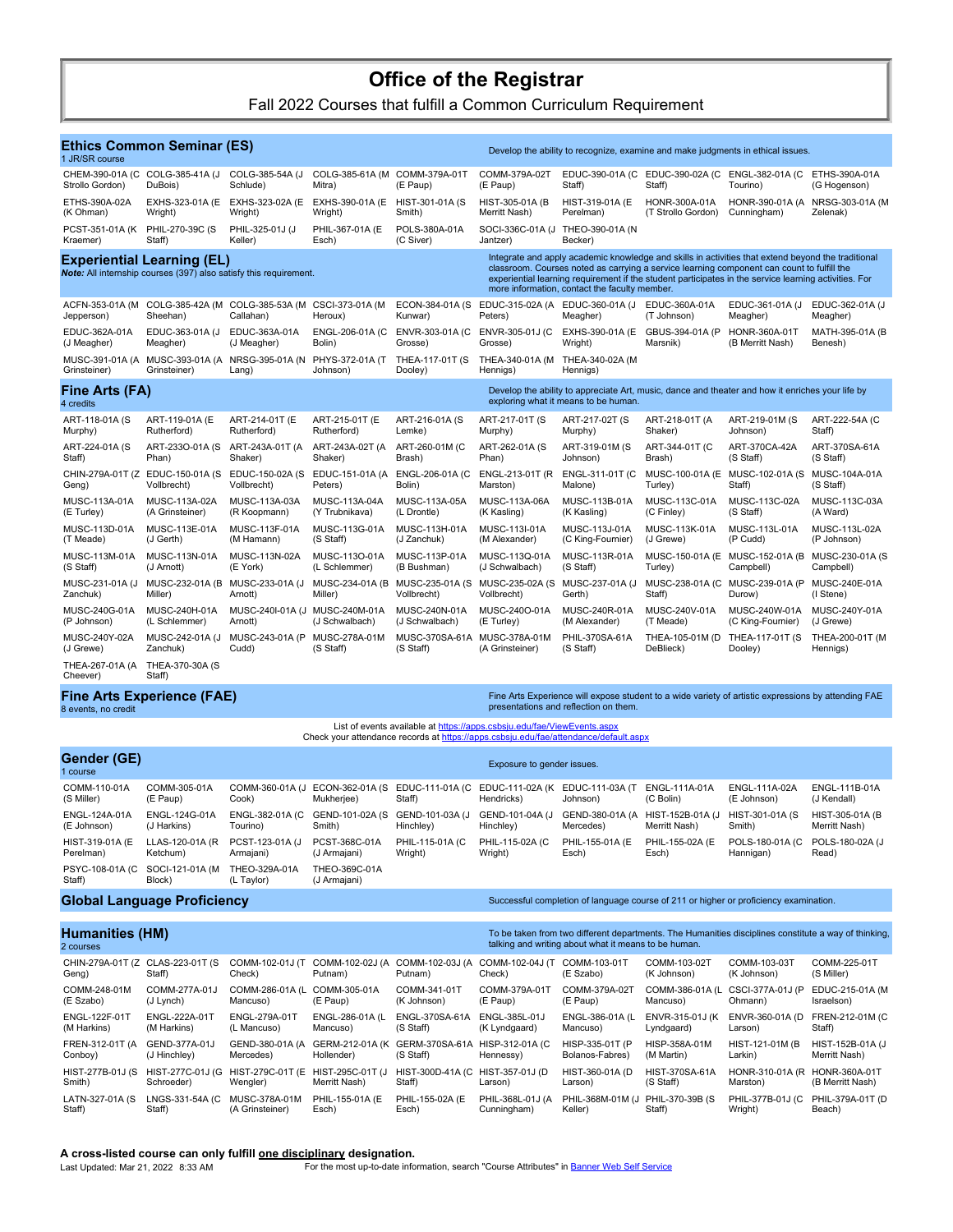# **Office of the Registrar**

Fall 2022 Courses that fulfill a Common Curriculum Requirement

| 1 JR/SR course                                                                                         | <b>Ethics Common Seminar (ES)</b> |                            |                             |                                                                                                  |                                                                                                                                                                                                                                                                                                                                                            | Develop the ability to recognize, examine and make judgments in ethical issues. |                    |                   |                      |  |  |
|--------------------------------------------------------------------------------------------------------|-----------------------------------|----------------------------|-----------------------------|--------------------------------------------------------------------------------------------------|------------------------------------------------------------------------------------------------------------------------------------------------------------------------------------------------------------------------------------------------------------------------------------------------------------------------------------------------------------|---------------------------------------------------------------------------------|--------------------|-------------------|----------------------|--|--|
| CHEM-390-01A (C                                                                                        | COLG-385-41A (J                   | COLG-385-54A (J            | COLG-385-61A (M)            | COMM-379A-01T                                                                                    | COMM-379A-02T                                                                                                                                                                                                                                                                                                                                              | EDUC-390-01A (C                                                                 | EDUC-390-02A (C    | ENGL-382-01A (C   | ETHS-390A-01A        |  |  |
| Strollo Gordon)                                                                                        | DuBois)                           | Schlude)                   | Mitra)                      | (E Paup)                                                                                         | (E Paup)                                                                                                                                                                                                                                                                                                                                                   | Staff)                                                                          | Staff)             | Tourino)          | (G Hogenson)         |  |  |
| ETHS-390A-02A                                                                                          | EXHS-323-01A (E                   | EXHS-323-02A (E            | EXHS-390-01A (E)            | HIST-301-01A (S                                                                                  | HIST-305-01A (B)                                                                                                                                                                                                                                                                                                                                           | HIST-319-01A (E                                                                 | HONR-300A-01A      | HONR-390-01A (A   | NRSG-303-01A (M      |  |  |
| (K Ohman)                                                                                              | Wright)                           | Wright)                    | Wright)                     | Smith)                                                                                           | Merritt Nash)                                                                                                                                                                                                                                                                                                                                              | Perelman)                                                                       | (T Strollo Gordon) | Cunningham)       | Zelenak)             |  |  |
| PCST-351-01A (K<br>Kraemer)                                                                            | PHIL-270-39C (S<br>Staff)         | PHIL-325-01J (J<br>Keller) | PHIL-367-01A (E<br>Esch)    | POLS-380A-01A<br>(C Siver)                                                                       | SOCI-336C-01A (J<br>Jantzer)                                                                                                                                                                                                                                                                                                                               | THEO-390-01A (N<br>Becker)                                                      |                    |                   |                      |  |  |
| <b>Experiential Learning (EL)</b><br>Note: All internship courses (397) also satisfy this requirement. |                                   |                            |                             |                                                                                                  | Integrate and apply academic knowledge and skills in activities that extend beyond the traditional<br>classroom. Courses noted as carrying a service learning component can count to fulfill the<br>experiential learning requirement if the student participates in the service learning activities. For<br>more information, contact the faculty member. |                                                                                 |                    |                   |                      |  |  |
| ACFN-353-01A (M                                                                                        | COLG-385-42A (M)                  | COLG-385-53A (M            | CSCI-373-01A (M             | ECON-384-01A (S                                                                                  | EDUC-315-02A (A EDUC-360-01A (J                                                                                                                                                                                                                                                                                                                            | Meagher)                                                                        | EDUC-360A-01A      | EDUC-361-01A (J   | EDUC-362-01A (J      |  |  |
| Jepperson)                                                                                             | Sheehan)                          | Callahan)                  | Heroux)                     | Kunwar)                                                                                          | Peters)                                                                                                                                                                                                                                                                                                                                                    |                                                                                 | (T Johnson)        | Meagher)          | Meagher)             |  |  |
| EDUC-362A-01A                                                                                          | EDUC-363-01A (J                   | EDUC-363A-01A              | ENGL-206-01A (C             | ENVR-303-01A (C                                                                                  | ENVR-305-01J (C                                                                                                                                                                                                                                                                                                                                            | EXHS-390-01A (E                                                                 | GBUS-394-01A (P    | HONR-360A-01T     | MATH-395-01A (B      |  |  |
| (J Meagher)                                                                                            | Meagher)                          | (J Meagher)                | Bolin)                      | Grosse)                                                                                          | Grosse)                                                                                                                                                                                                                                                                                                                                                    | Wright)                                                                         | Marsnik)           | (B Merritt Nash)  | Benesh)              |  |  |
| MUSC-391-01A (A<br>Grinsteiner)                                                                        | MUSC-393-01A (A<br>Grinsteiner)   | NRSG-395-01A (N<br>Lang)   | PHYS-372-01A (T<br>Johnson) | THEA-117-01T (S)<br>Dooley)                                                                      | THEA-340-01A (M<br>Hennigs)                                                                                                                                                                                                                                                                                                                                | THEA-340-02A (M<br>Hennigs)                                                     |                    |                   |                      |  |  |
| Fine Arts (FA)                                                                                         |                                   |                            |                             | Develop the ability to appreciate Art, music, dance and theater and how it enriches your life by |                                                                                                                                                                                                                                                                                                                                                            |                                                                                 |                    |                   |                      |  |  |
| 4 credits                                                                                              |                                   |                            |                             | exploring what it means to be human.                                                             |                                                                                                                                                                                                                                                                                                                                                            |                                                                                 |                    |                   |                      |  |  |
| ART-118-01A (S                                                                                         | ART-119-01A (E                    | ART-214-01T (E             | ART-215-01T (E              | ART-216-01A (S                                                                                   | ART-217-01T (S                                                                                                                                                                                                                                                                                                                                             | ART-217-02T (S                                                                  | ART-218-01T (A     | ART-219-01M (S    | ART-222-54A (C       |  |  |
| Murphy)                                                                                                | Rutherford)                       | Rutherford)                | Rutherford)                 | Lemke)                                                                                           | Murphy)                                                                                                                                                                                                                                                                                                                                                    | Murphy)                                                                         | Shaker)            | Johnson)          | Staff)               |  |  |
| ART-224-01A (S                                                                                         | ART-233O-01A (S                   | ART-243A-01T (A            | ART-243A-02T (A             | ART-260-01M (C                                                                                   | ART-262-01A (S                                                                                                                                                                                                                                                                                                                                             | ART-319-01M (S                                                                  | ART-344-01T (C     | ART-370CA-42A     | ART-370SA-61A        |  |  |
| Staff)                                                                                                 | Phan)                             | Shaker)                    | Shaker)                     | Brash)                                                                                           | Phan)                                                                                                                                                                                                                                                                                                                                                      | Johnson)                                                                        | Brash)             | (S Staff)         | (S Staff)            |  |  |
| CHIN-279A-01T (Z                                                                                       | EDUC-150-01A (S                   | EDUC-150-02A (S)           | EDUC-151-01A (A             | ENGL-206-01A (C                                                                                  | ENGL-213-01T (R)                                                                                                                                                                                                                                                                                                                                           | ENGL-311-01T (C                                                                 | MUSC-100-01A (E    | MUSC-102-01A (S   | MUSC-104A-01A        |  |  |
| Geng)                                                                                                  | Vollbrecht)                       | Vollbrecht)                | Peters)                     | Bolin)                                                                                           | Marston)                                                                                                                                                                                                                                                                                                                                                   | Malone)                                                                         | Turley)            | Staff)            | (S Staff)            |  |  |
| MUSC-113A-01A                                                                                          | MUSC-113A-02A                     | MUSC-113A-03A              | MUSC-113A-04A               | MUSC-113A-05A                                                                                    | MUSC-113A-06A                                                                                                                                                                                                                                                                                                                                              | MUSC-113B-01A                                                                   | MUSC-113C-01A      | MUSC-113C-02A     | MUSC-113C-03A        |  |  |
| (E Turley)                                                                                             | (A Grinsteiner)                   | (R Koopmann)               | (Y Trubnikava)              | (L Drontle)                                                                                      | (K Kasling)                                                                                                                                                                                                                                                                                                                                                | (K Kasling)                                                                     | (C Finley)         | (S Staff)         | (A Ward)             |  |  |
| MUSC-113D-01A                                                                                          | MUSC-113E-01A                     | MUSC-113F-01A              | MUSC-113G-01A               | MUSC-113H-01A                                                                                    | MUSC-113I-01A                                                                                                                                                                                                                                                                                                                                              | MUSC-113J-01A                                                                   | MUSC-113K-01A      | MUSC-113L-01A     | <b>MUSC-113L-02A</b> |  |  |
| (T Meade)                                                                                              | (J Gerth)                         | (M Hamann)                 | (S Staff)                   | (J Zanchuk)                                                                                      | (M Alexander)                                                                                                                                                                                                                                                                                                                                              | (C King-Fournier)                                                               | (J Grewe)          | (P Cudd)          | (P Johnson)          |  |  |
| MUSC-113M-01A                                                                                          | MUSC-113N-01A                     | MUSC-113N-02A              | MUSC-113O-01A               | MUSC-113P-01A                                                                                    | MUSC-113Q-01A                                                                                                                                                                                                                                                                                                                                              | MUSC-113R-01A                                                                   | MUSC-150-01A (E    | MUSC-152-01A (B   | MUSC-230-01A (S      |  |  |
| (S Staff)                                                                                              | (J Arnott)                        | (E York)                   | (L Schlemmer)               | (B Bushman)                                                                                      | (J Schwalbach)                                                                                                                                                                                                                                                                                                                                             | (S Staff)                                                                       | Turley)            | Campbell)         | Campbell)            |  |  |
| MUSC-231-01A (J                                                                                        | MUSC-232-01A (B)                  | MUSC-233-01A (J            | MUSC-234-01A (B)            | MUSC-235-01A (S                                                                                  | MUSC-235-02A (S                                                                                                                                                                                                                                                                                                                                            | MUSC-237-01A (J                                                                 | MUSC-238-01A (C    | MUSC-239-01A (P   | MUSC-240E-01A        |  |  |
| Zanchuk)                                                                                               | Miller)                           | Arnott)                    | Miller)                     | Vollbrecht)                                                                                      | Vollbrecht)                                                                                                                                                                                                                                                                                                                                                | Gerth)                                                                          | Staff)             | Durow)            | (I Stene)            |  |  |
| MUSC-240G-01A                                                                                          | MUSC-240H-01A                     | MUSC-240I-01A (J           | MUSC-240M-01A               | MUSC-240N-01A                                                                                    | MUSC-240O-01A                                                                                                                                                                                                                                                                                                                                              | MUSC-240R-01A                                                                   | MUSC-240V-01A      | MUSC-240W-01A     | MUSC-240Y-01A        |  |  |
| (P Johnson)                                                                                            | (L Schlemmer)                     | Arnott)                    | (J Schwalbach)              | (J Schwalbach)                                                                                   | (E Turley)                                                                                                                                                                                                                                                                                                                                                 | (M Alexander)                                                                   | (T Meade)          | (C King-Fournier) | (J Grewe)            |  |  |
| MUSC-240Y-02A                                                                                          | MUSC-242-01A (J                   | MUSC-243-01A (P            | MUSC-278A-01M               | MUSC-370SA-61A                                                                                   | MUSC-378A-01M                                                                                                                                                                                                                                                                                                                                              | PHIL-370SA-61A                                                                  | THEA-105-01M (D    | THEA-117-01T (S)  | THEA-200-01T (M      |  |  |
| (J Grewe)                                                                                              | Zanchuk)                          | Cudd)                      | (S Staff)                   | (S Staff)                                                                                        | (A Grinsteiner)                                                                                                                                                                                                                                                                                                                                            | (S Staff)                                                                       | DeBlieck)          | Dooley)           | Hennigs)             |  |  |
| THEA-267-01A (A<br>Cheever)                                                                            | THEA-370-30A (S)<br>Staff)        |                            |                             |                                                                                                  |                                                                                                                                                                                                                                                                                                                                                            |                                                                                 |                    |                   |                      |  |  |

## **Fine Arts Experience (FAE)**

8 events, no credit

Fine Arts Experience will expose student to a wide variety of artistic expressions by attending FAE presentations and reflection on them.

List of events available at <https://apps.csbsju.edu/fae/ViewEvents.aspx> Check your attendance records at<https://apps.csbsju.edu/fae/attendance/default.aspx>

| Gender (GE)<br>l course            | Exposure to gender issues.   |                              |                               |                                                                                       |                               |                              |                                   |                               |                                   |
|------------------------------------|------------------------------|------------------------------|-------------------------------|---------------------------------------------------------------------------------------|-------------------------------|------------------------------|-----------------------------------|-------------------------------|-----------------------------------|
| COMM-110-01A<br>(S Miller)         | COMM-305-01A<br>(E Paup)     | COMM-360-01A (J<br>Cook)     | ECON-362-01A (S<br>Mukheriee) | EDUC-111-01A (C<br>Staff)                                                             | EDUC-111-02A (K<br>Hendricks) | EDUC-111-03A (T<br>Johnson)  | ENGL-111A-01A<br>(C Bolin)        | ENGL-111A-02A<br>(E Johnson)  | ENGL-111B-01A<br>(J Kendall)      |
| ENGL-124A-01A<br>(E Johnson)       | ENGL-124G-01A<br>(J Harkins) | ENGL-382-01A (C)<br>Tourino) | GEND-101-02A (S)<br>Smith)    | GEND-101-03A (J<br>Hinchley)                                                          | GEND-101-04A (J<br>Hinchley)  | GEND-380-01A (A<br>Mercedes) | HIST-152B-01A (J<br>Merritt Nash) | HIST-301-01A (S)<br>Smith)    | HIST-305-01A (B)<br>Merritt Nash) |
| HIST-319-01A (E<br>Perelman)       | LLAS-120-01A (R<br>Ketchum)  | PCST-123-01A (J<br>Armaiani) | PCST-368C-01A<br>(J Armajani) | PHIL-115-01A (C<br>Wright)                                                            | PHIL-115-02A (C<br>Wright)    | PHIL-155-01A (E)<br>Esch)    | PHIL-155-02A (E<br>Esch)          | POLS-180-01A (C)<br>Hannigan) | POLS-180-02A (J<br>Read)          |
| PSYC-108-01A (C<br>Staff)          | SOCI-121-01A (M<br>Block)    | THEO-329A-01A<br>(L Taylor)  | THEO-369C-01A<br>(J Armajani) |                                                                                       |                               |                              |                                   |                               |                                   |
| <b>Global Language Proficiency</b> |                              |                              |                               | Successful completion of language course of 211 or higher or proficiency examination. |                               |                              |                                   |                               |                                   |

| Humanities (HM)                  |                      |                          |                  | To be taken from two different departments. The Humanities disciplines constitute a way of thinking, |                  |                  |                       |                  |                   |
|----------------------------------|----------------------|--------------------------|------------------|------------------------------------------------------------------------------------------------------|------------------|------------------|-----------------------|------------------|-------------------|
| 2 courses                        |                      |                          |                  | talking and writing about what it means to be human.                                                 |                  |                  |                       |                  |                   |
| CHIN-279A-01T (Z CLAS-223-01T (S | Staff)               | COMM-102-01J (7          | COMM-102-02J (A  | COMM-102-03J (A                                                                                      | COMM-102-04J (   | COMM-103-01T     | COMM-103-02T          | COMM-103-03T     | COMM-225-01T      |
| Geng)                            |                      | Check)                   | Putnam)          | Putnam)                                                                                              | Check)           | (E Szabo)        | (K Johnson)           | (K Johnson)      | (S Miller)        |
| COMM-248-01M                     | COMM-277A-01J        | COMM-286-01A (L          | COMM-305-01A     | COMM-341-01T                                                                                         | COMM-379A-011    | COMM-379A-02T    | COMM-386-01A (L       | CSCI-377A-01J (P | EDUC-215-01A (M   |
| (E Szabo)                        | (J Lynch)            | Mancuso)                 | (E Paup)         | (K Johnson)                                                                                          | (E Paup)         | (E Paup)         | Mancuso)              | Ohmann)          | Israelson)        |
| ENGL-122F-01T                    | <b>ENGL-222A-01T</b> | ENGL-279A-01T            | ENGL-286-01A (L  | ENGL-370SA-61A                                                                                       | ENGL-385L-01J    | ENGL-386-01A (L  | ENVR-315-01J (K       | ENVR-360-01A (D) | FREN-212-01M (C   |
| (M Harkins)                      | (M Harkins)          | (L Mancuso)              | Mancuso)         | (S Staff)                                                                                            | (K Lyndgaard)    | Mancuso)         | Lyndgaard)            | Larson)          | Staff)            |
| FREN-312-01T (A                  | GEND-377A-01J        | GEND-380-01A (A          | GERM-212-01A (K) | GERM-370SA-61A                                                                                       | HISP-312-01A (C  | HISP-335-01T (P  | HISP-358A-01M         | HIST-121-01M (B) | HIST-152B-01A (J  |
| Conboy)                          | (J Hinchlev)         | Mercedes)                | Hollender)       | (S Staff)                                                                                            | Hennessy)        | Bolanos-Fabres)  | (M Martin)            | Larkin)          | Merritt Nash)     |
| HIST-277B-01J (S)                | HIST-277C-01J (G     | <b>HIST-279C-01T (E)</b> | HIST-295C-01T (J | HIST-300D-41A (C                                                                                     | HIST-357-01J (D) | HIST-360-01A (D) | <b>HIST-370SA-61A</b> | HONR-310-01A (R) | HONR-360A-01T     |
| Smith)                           | Schroeder)           | Wengler)                 | Merritt Nash)    | Staff)                                                                                               | Larson)          | Larson)          | (S Staff)             | Marston)         | (B Merritt Nash)  |
| LATN-327-01A (S)                 | LNGS-331-54A (C      | MUSC-378A-01M            | PHIL-155-01A (E) | PHIL-155-02A (E                                                                                      | PHIL-368L-01J (A | PHIL-368M-01M (J | PHIL-370-39B (S)      | PHIL-377B-01J (C | PHIL-379A-01T (D) |
| Staff)                           | Staff)               | (A Grinsteiner)          | Esch)            | Esch)                                                                                                | Cunningham)      | Keller)          | Staff)                | Wright)          | Beach)            |

# **A cross-listed course can only fulfill <u>one disciplinary</u> designation.<br>Last Updated: Mar 21, 2022 8:33 AM For the most up-to-date info**